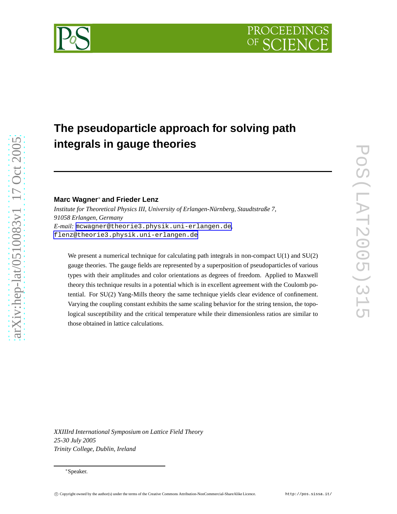# **The pseudoparticle approach for solving path integrals in gauge theories**

# **Marc Wagner**<sup>∗</sup> **and Frieder Lenz**

[arXiv:hep-lat/0510083v1 17 Oct 2005](http://arXiv.org/abs/hep-lat/0510083v1)

 $arXiv:hep-lat/0510083v1$  17 Oct 2005

*Institute for Theoretical Physics III, University of Erlangen-Nürnberg, Staudtstraße 7, 91058 Erlangen, Germany E-mail:* [mcwagner@theorie3.physik.uni-erlangen.de](mailto:mcwagner@theorie3.physik.uni-erlangen.de)*,* [flenz@theorie3.physik.uni-erlangen.de](mailto:flenz@theorie3.physik.uni-erlangen.de)

We present a numerical technique for calculating path integrals in non-compact  $U(1)$  and  $SU(2)$ gauge theories. The gauge fields are represented by a superposition of pseudoparticles of various types with their amplitudes and color orientations as degrees of freedom. Applied to Maxwell theory this technique results in a potential which is in excellent agreement with the Coulomb potential. For SU(2) Yang-Mills theory the same technique yields clear evidence of confinement. Varying the coupling constant exhibits the same scaling behavior for the string tension, the topological susceptibility and the critical temperature while their dimensionless ratios are similar to those obtained in lattice calculations.

*XXIIIrd International Symposium on Lattice Field Theory 25-30 July 2005 Trinity College, Dublin, Ireland*

<sup>∗</sup>Speaker.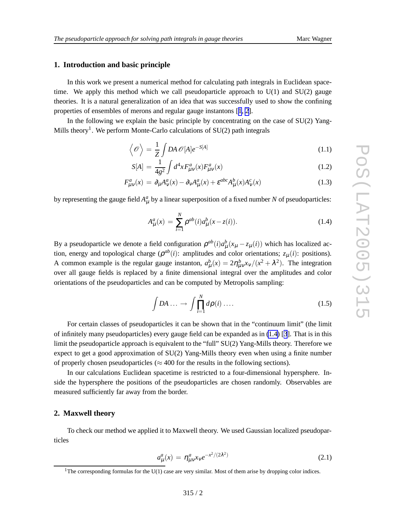#### **1. Introduction and basic principle**

In this work we present a numerical method for calculating path integrals in Euclidean spacetime. We apply this method which we call pseudoparticle approach to  $U(1)$  and  $SU(2)$  gauge theories. It is a natural generalization of an idea that was successfully used to show the confining properties of ensembles of merons and regular gauge instantons [[1](#page-5-0), [2\]](#page-5-0).

In the following we explain the basic principle by concentrating on the case of  $SU(2)$  Yang-Mills theory<sup>1</sup>. We perform Monte-Carlo calculations of  $SU(2)$  path integrals

$$
\left\langle \mathcal{O} \right\rangle = \frac{1}{Z} \int DA \, \mathcal{O}[A] e^{-S[A]} \tag{1.1}
$$

$$
S[A] = \frac{1}{4g^2} \int d^4x F^a_{\mu\nu}(x) F^a_{\mu\nu}(x)
$$
\n(1.2)

$$
F_{\mu\nu}^a(x) = \partial_\mu A_\nu^a(x) - \partial_\nu A_\mu^a(x) + \varepsilon^{abc} A_\mu^b(x) A_\nu^c(x)
$$
\n(1.3)

by representing the gauge field  $A^a_\mu$  by a linear superposition of a fixed number N of pseudoparticles:

$$
A_{\mu}^{a}(x) = \sum_{i=1}^{N} \rho^{ab}(i) a_{\mu}^{b}(x - z(i)).
$$
 (1.4)

By a pseudoparticle we denote a field configuration  $\rho^{ab}(i)a^b_\mu(x_\mu - z_\mu(i))$  which has localized action, energy and topological charge  $(\rho^{ab}(i))$ : amplitudes and color orientations;  $z_{\mu}(i)$ : positions). A common example is the regular gauge instanton,  $a^b_\mu(x) = 2\eta^b_{\mu\nu}x_\nu/(x^2 + \lambda^2)$ . The integration over all gauge fields is replaced by a finite dimensional integral over the amplitudes and color orientations of the pseudoparticles and can be computed by Metropolis sampling:

$$
\int DA \dots \to \int \prod_{i=1}^{N} d\rho(i) \dots \tag{1.5}
$$

For certain classes of pseudoparticles it can be shown that in the "continuum limit" (the limit of infinitely many pseudoparticles) every gauge field can be expanded as in (1.4) [[3](#page-5-0)]. That is in this limit the pseudoparticle approach is equivalent to the "full" SU(2) Yang-Mills theory. Therefore we expect to get a good approximation of SU(2) Yang-Mills theory even when using a finite number of properly chosen pseudoparticles ( $\approx$  400 for the results in the following sections).

In our calculations Euclidean spacetime is restricted to a four-dimensional hypersphere. Inside the hypersphere the positions of the pseudoparticles are chosen randomly. Observables are measured sufficiently far away from the border.

#### **2. Maxwell theory**

To check our method we applied it to Maxwell theory. We used Gaussian localized pseudoparticles

$$
a_{\mu}^{a}(x) = \eta_{\mu\nu}^{a} x_{\nu} e^{-x^{2}/(2\lambda^{2})}
$$
 (2.1)

<sup>&</sup>lt;sup>1</sup>The corresponding formulas for the U(1) case are very similar. Most of them arise by dropping color indices.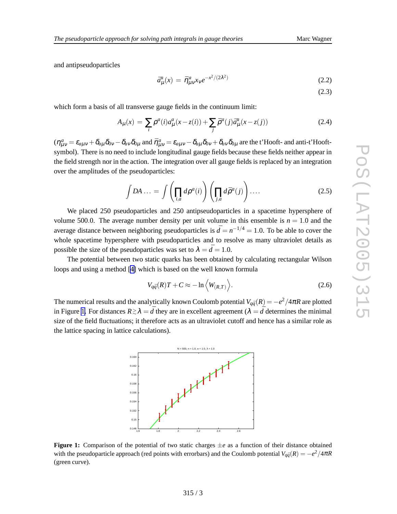and antipseudoparticles

$$
\bar{a}^a_\mu(x) = \bar{\eta}^a_{\mu\nu} x_\nu e^{-x^2/(2\lambda^2)} \tag{2.2}
$$

(2.3)

which form a basis of all transverse gauge fields in the continuum limit:

$$
A_{\mu}(x) = \sum_{i} \rho^{a}(i) a_{\mu}^{a}(x - z(i)) + \sum_{j} \bar{\rho}^{a}(j) \bar{a}_{\mu}^{a}(x - z(j))
$$
\n(2.4)

 $(\eta^a_{\mu\nu} = \varepsilon_{a\mu\nu} + \delta_{a\mu}\delta_{0\nu} - \delta_{a\nu}\delta_{0\mu}$  and  $\bar{\eta}^a_{\mu\nu} = \varepsilon_{a\mu\nu} - \delta_{a\mu}\delta_{0\nu} + \delta_{a\nu}\delta_{0\mu}$  are the t'Hooft- and anti-t'Hooftsymbol). There is no need to include longitudinal gauge fields because these fields neither appear in the field strength nor in the action. The integration over all gauge fields is replaced by an integration over the amplitudes of the pseudoparticles:

$$
\int DA \dots = \int \left(\prod_{i,a} d\rho^a(i)\right) \left(\prod_{j,a} d\bar{\rho}^a(j)\right) \dots \tag{2.5}
$$

We placed 250 pseudoparticles and 250 antipseudoparticles in a spacetime hypersphere of volume 500.0. The average number density per unit volume in this ensemble is  $n = 1.0$  and the average distance between neighboring pseudoparticles is  $\bar{d} = n^{-1/4} = 1.0$ . To be able to cover the whole spacetime hypersphere with pseudoparticles and to resolve as many ultraviolet details as possible the size of the pseudoparticles was set to  $\lambda = \bar{d} = 1.0$ .

The potential between two static quarks has been obtained by calculating rectangular Wilson loops and using a method [\[4\]](#page-5-0) which is based on the well known formula

$$
V_{q\bar{q}}(R)T + C \approx -\ln\left\langle W_{(R,T)}\right\rangle. \tag{2.6}
$$

The numerical results and the analytically known Coulomb potential  $V_{q\bar{q}}(R) = -e^2/4\pi R$  are plotted in Figure 1. For distances  $R \gtrsim \lambda = \bar{d}$  they are in excellent agreement ( $\lambda = \bar{d}$  determines the minimal size of the field fluctuations; it therefore acts as an ultraviolet cutoff and hence has a similar role as the lattice spacing in lattice calculations).



**Figure 1:** Comparison of the potential of two static charges  $\pm e$  as a function of their distance obtained with the pseudoparticle approach (red points with errorbars) and the Coulomb potential  $V_{q\bar{q}}(R) = -e^2/4\pi R$ (green curve).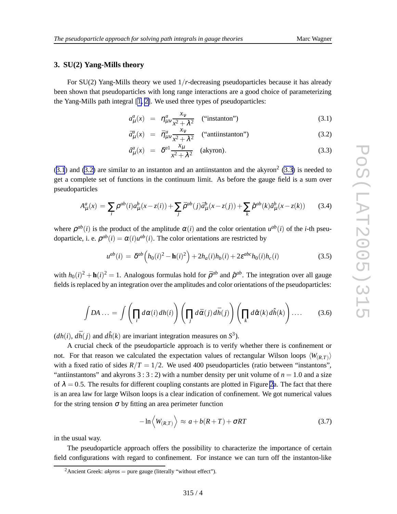## <span id="page-3-0"></span>**3. SU(2) Yang-Mills theory**

For SU(2) Yang-Mills theory we used 1 / *r*-decreasing pseudoparticles because it has already been shown that pseudoparticles with long range interactions are a good choice of parameterizing the Yang-Mills path integral [\[1, 2\]](#page-5-0). We used three types of pseudoparticles:

$$
a_{\mu}^{a}(x) = \eta_{\mu\nu}^{a} \frac{x_{\nu}}{x^{2} + \lambda^{2}} \quad \text{("instanton")} \tag{3.1}
$$

$$
\bar{a}^{a}_{\mu}(x) = \bar{\eta}^{a}_{\mu\nu} \frac{x_{\nu}}{x^{2} + \lambda^{2}} \quad \text{(``antiinstanton'')}\tag{3.2}
$$

$$
\hat{a}^a_\mu(x) = \delta^{a1} \frac{x_\mu}{x^2 + \lambda^2} \quad \text{(akyron)}.
$$
\n(3.3)

 $(3.1)$  and  $(3.2)$  are similar to an instanton and an antiinstanton and the akyron<sup>2</sup>  $(3.3)$  is needed to get a complete set of functions in the continuum limit. As before the gauge field is a sum over pseudoparticles

$$
A_{\mu}^{a}(x) = \sum_{i} \rho^{ab}(i) a_{\mu}^{b}(x - z(i)) + \sum_{j} \bar{\rho}^{ab}(j) \bar{a}_{\mu}^{b}(x - z(j)) + \sum_{k} \hat{\rho}^{ab}(k) \hat{a}_{\mu}^{b}(x - z(k)) \tag{3.4}
$$

where  $\rho^{ab}(i)$  is the product of the amplitude  $\alpha(i)$  and the color orientation  $u^{ab}(i)$  of the *i*-th pseudoparticle, i. e.  $\rho^{ab}(i) = \alpha(i)u^{ab}(i)$ . The color orientations are restricted by

$$
u^{ab}(i) = \delta^{ab} (h_0(i)^2 - \mathbf{h}(i)^2) + 2h_a(i)h_b(i) + 2\varepsilon^{abc}h_0(i)h_c(i)
$$
 (3.5)

with  $h_0(i)^2 + h(i)^2 = 1$ . Analogous formulas hold for  $\bar{\rho}^{ab}$  and  $\hat{\rho}^{ab}$ . The integration over all gauge fields is replaced by an integration over the amplitudes and color orientations of the pseudoparticles:

$$
\int DA \dots = \int \left(\prod_i d\alpha(i) dh(i)\right) \left(\prod_j d\bar{\alpha}(j) d\bar{h}(j)\right) \left(\prod_k d\hat{\alpha}(k) d\hat{h}(k)\right) \dots \qquad (3.6)
$$

 $(dh(i), d\bar{h}(j))$  and  $d\hat{h}(k)$  are invariant integration measures on  $S^3$ ).

A crucial check of the pseudoparticle approach is to verify whether there is confinement or not. For that reason we calculated the expectation values of rectangular Wilson loops  $\langle W_{(R,T)} \rangle$ with a fixed ratio of sides  $R/T = 1/2$ . We used 400 pseudoparticles (ratio between "instantons", "antiinstantons" and akyrons  $3:3:2$ ) with a number density per unit volume of  $n = 1.0$  and a size of  $\lambda = 0.5$ . The results for different coupling constants are plotted in Figure [2a](#page-4-0). The fact that there is an area law for large Wilson loops is a clear indication of confinement. We got numerical values for the string tension  $\sigma$  by fitting an area perimeter function

$$
-\ln\left\langle W_{(R,T)}\right\rangle \approx a + b(R+T) + \sigma RT \tag{3.7}
$$

in the usual way.

The pseudoparticle approach offers the possibility to characterize the importance of certain field configurations with regard to confinement. For instance we can turn off the instanton-like

<sup>&</sup>lt;sup>2</sup> Ancient Greek:  $akyros = pure gauge$  (literally "without effect").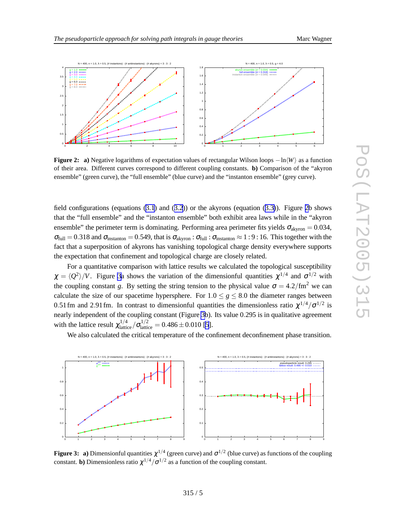<span id="page-4-0"></span>

**Figure 2:** a) Negative logarithms of expectation values of rectangular Wilson loops  $-\ln \langle W \rangle$  as a function of their area. Different curves correspond to different coupling constants. **b)** Comparison of the "akyron ensemble" (green curve), the "full ensemble" (blue curve) and the "instanton ensemble" (grey curve).

field configurations (equations  $(3.1)$  $(3.1)$  $(3.1)$  and  $(3.2)$  $(3.2)$  $(3.2)$ ) or the akyrons (equation  $(3.3)$  $(3.3)$ ). Figure 2b shows that the "full ensemble" and the "instanton ensemble" both exhibit area laws while in the "akyron ensemble" the perimeter term is dominating. Performing area perimeter fits yields  $\sigma_{\text{akyron}} = 0.034$ ,  $\sigma_{\text{full}} = 0.318$  and  $\sigma_{\text{instanton}} = 0.549$ , that is  $\sigma_{\text{akyron}} : \sigma_{\text{full}} : \sigma_{\text{instanton}} \approx 1:9:16$ . This together with the fact that a superposition of akyrons has vanishing topological charge density everywhere supports the expectation that confinement and topological charge are closely related.

For a quantitative comparison with lattice results we calculated the topological susceptibility  $\chi = \langle Q^2 \rangle / V$ . Figure 3a shows the variation of the dimensionful quantities  $\chi^{1/4}$  and  $\sigma^{1/2}$  with the coupling constant g. By setting the string tension to the physical value  $\sigma = 4.2 / fm^2$  we can calculate the size of our spacetime hypersphere. For  $1.0 \le g \le 8.0$  the diameter ranges between 0.51 fm and 2.91 fm. In contrast to dimensionful quantities the dimensionless ratio  $\chi^{1/4}/\sigma^{1/2}$  is nearly independent of the coupling constant (Figure 3b). Its value 0 .295 is in qualitative agreement with the lattice result  $\chi_{\text{lattile}}^{1/4}$  $\frac{1}{4}$ lattice  $\sigma_{\text{lattice}}^{1/2}$  $\frac{1}{2}$  lattice = 0.486  $\pm$  0.010 [[5](#page-5-0)].

We also calculated the critical temperature of the confinement deconfinement phase transition.



**Figure 3:** a) Dimensionful quantities  $\chi^{1/4}$  (green curve) and  $\sigma^{1/2}$  (blue curve) as functions of the coupling constant. **b**) Dimensionless ratio  $\chi^{1/4}/\sigma^{1/2}$  as a function of the coupling constant.